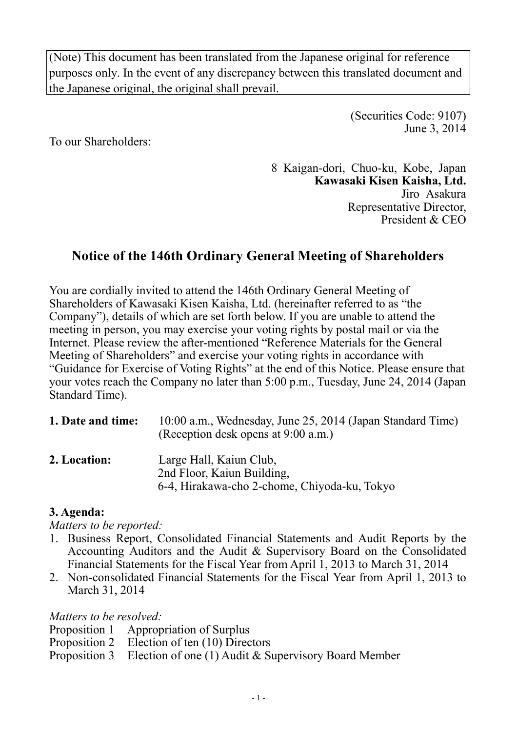(Note) This document has been translated from the Japanese original for reference purposes only. In the event of any discrepancy between this translated document and the Japanese original, the original shall prevail.

> (Securities Code: 9107) June 3, 2014

To our Shareholders:

8 Kaigan-dori, Chuo-ku, Kobe, Japan **Kawasaki Kisen Kaisha, Ltd.**  Jiro Asakura Representative Director, President & CEO

# **Notice of the 146th Ordinary General Meeting of Shareholders**

You are cordially invited to attend the 146th Ordinary General Meeting of Shareholders of Kawasaki Kisen Kaisha, Ltd. (hereinafter referred to as "the Company"), details of which are set forth below. If you are unable to attend the meeting in person, you may exercise your voting rights by postal mail or via the Internet. Please review the after-mentioned "Reference Materials for the General Meeting of Shareholders" and exercise your voting rights in accordance with "Guidance for Exercise of Voting Rights" at the end of this Notice. Please ensure that your votes reach the Company no later than 5:00 p.m., Tuesday, June 24, 2014 (Japan Standard Time).

| 1. Date and time: | 10:00 a.m., Wednesday, June 25, 2014 (Japan Standard Time)<br>(Reception desk opens at 9:00 a.m.) |  |  |  |
|-------------------|---------------------------------------------------------------------------------------------------|--|--|--|
| 2. Location:      | Large Hall, Kaiun Club,                                                                           |  |  |  |

**2. Location:** Large Hall, Kaiun Club, 2nd Floor, Kaiun Building, 6-4, Hirakawa-cho 2-chome, Chiyoda-ku, Tokyo

## **3. Agenda:**

*Matters to be reported:* 

- 1. Business Report, Consolidated Financial Statements and Audit Reports by the Accounting Auditors and the Audit & Supervisory Board on the Consolidated Financial Statements for the Fiscal Year from April 1, 2013 to March 31, 2014
- 2. Non-consolidated Financial Statements for the Fiscal Year from April 1, 2013 to March 31, 2014

*Matters to be resolved:* 

- Proposition 1 Appropriation of Surplus
- Proposition 2 Election of ten (10) Directors
- Proposition 3 Election of one (1) Audit & Supervisory Board Member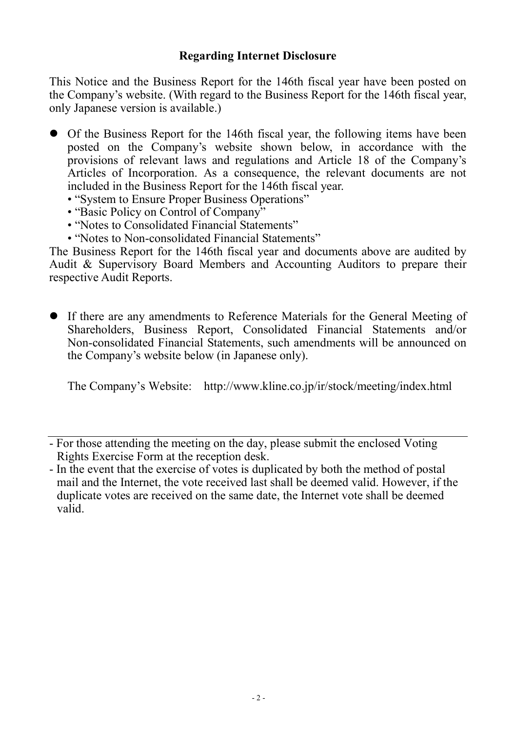This Notice and the Business Report for the 146th fiscal year have been posted on the Company's website. (With regard to the Business Report for the 146th fiscal year, only Japanese version is available.)

- Of the Business Report for the 146th fiscal year, the following items have been posted on the Company's website shown below, in accordance with the provisions of relevant laws and regulations and Article 18 of the Company's Articles of Incorporation. As a consequence, the relevant documents are not included in the Business Report for the 146th fiscal year.
	- "System to Ensure Proper Business Operations"
	- "Basic Policy on Control of Company"
	- "Notes to Consolidated Financial Statements"
	- "Notes to Non-consolidated Financial Statements"

The Business Report for the 146th fiscal year and documents above are audited by Audit & Supervisory Board Members and Accounting Auditors to prepare their respective Audit Reports.

• If there are any amendments to Reference Materials for the General Meeting of Shareholders, Business Report, Consolidated Financial Statements and/or Non-consolidated Financial Statements, such amendments will be announced on the Company's website below (in Japanese only).

The Company's Website: http://www.kline.co.jp/ir/stock/meeting/index.html

<sup>-</sup> For those attending the meeting on the day, please submit the enclosed Voting Rights Exercise Form at the reception desk.

<sup>-</sup> In the event that the exercise of votes is duplicated by both the method of postal mail and the Internet, the vote received last shall be deemed valid. However, if the duplicate votes are received on the same date, the Internet vote shall be deemed valid.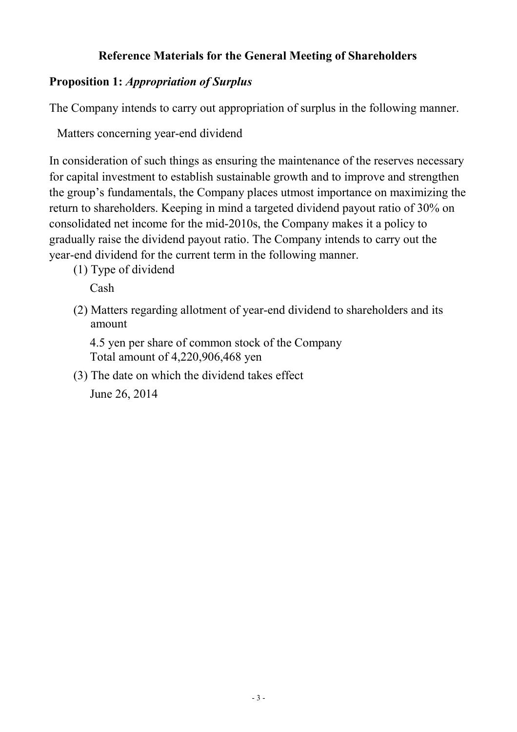## **Reference Materials for the General Meeting of Shareholders**

## **Proposition 1:** *Appropriation of Surplus*

The Company intends to carry out appropriation of surplus in the following manner.

Matters concerning year-end dividend

In consideration of such things as ensuring the maintenance of the reserves necessary for capital investment to establish sustainable growth and to improve and strengthen the group's fundamentals, the Company places utmost importance on maximizing the return to shareholders. Keeping in mind a targeted dividend payout ratio of 30% on consolidated net income for the mid-2010s, the Company makes it a policy to gradually raise the dividend payout ratio. The Company intends to carry out the year-end dividend for the current term in the following manner.

(1) Type of dividend

Cash

(2) Matters regarding allotment of year-end dividend to shareholders and its amount

4.5 yen per share of common stock of the Company Total amount of 4,220,906,468 yen

(3) The date on which the dividend takes effect

June 26, 2014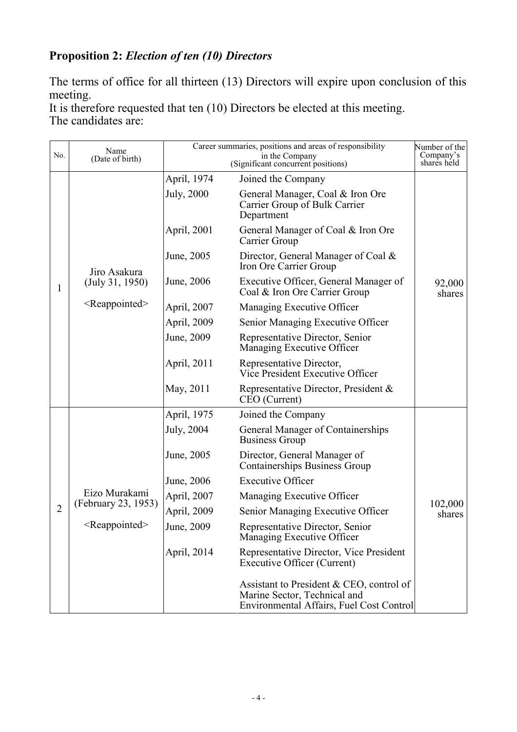# **Proposition 2:** *Election of ten (10) Directors*

The terms of office for all thirteen (13) Directors will expire upon conclusion of this meeting.

It is therefore requested that ten (10) Directors be elected at this meeting. The candidates are:

| No.            | Name<br>(Date of birth)                                           | Career summaries, positions and areas of responsibility<br>in the Company<br>(Significant concurrent positions) |                                                                                                                      | Number of the<br>Company's<br>shares held |
|----------------|-------------------------------------------------------------------|-----------------------------------------------------------------------------------------------------------------|----------------------------------------------------------------------------------------------------------------------|-------------------------------------------|
|                |                                                                   | April, 1974                                                                                                     | Joined the Company                                                                                                   |                                           |
|                | Jiro Asakura<br>(July 31, 1950)                                   | <b>July</b> , 2000                                                                                              | General Manager, Coal & Iron Ore<br>Carrier Group of Bulk Carrier<br>Department                                      |                                           |
|                |                                                                   | April, 2001                                                                                                     | General Manager of Coal & Iron Ore<br>Carrier Group                                                                  |                                           |
|                |                                                                   | June, 2005                                                                                                      | Director, General Manager of Coal &<br>Iron Ore Carrier Group                                                        |                                           |
| 1              |                                                                   | June, 2006                                                                                                      | Executive Officer, General Manager of<br>Coal & Iron Ore Carrier Group                                               | 92,000<br>shares                          |
|                | $<$ Reappointed $>$                                               | April, 2007                                                                                                     | Managing Executive Officer                                                                                           |                                           |
|                |                                                                   | April, 2009                                                                                                     | Senior Managing Executive Officer                                                                                    |                                           |
|                |                                                                   | June, 2009                                                                                                      | Representative Director, Senior<br>Managing Executive Officer                                                        |                                           |
|                |                                                                   | April, 2011                                                                                                     | Representative Director,<br>Vice President Executive Officer                                                         |                                           |
|                |                                                                   | May, 2011                                                                                                       | Representative Director, President &<br>CEO (Current)                                                                |                                           |
|                |                                                                   | April, 1975                                                                                                     | Joined the Company                                                                                                   |                                           |
|                | Eizo Murakami<br>(February 23, 1953)<br>$\leq$ Reappointed $\geq$ | July, 2004                                                                                                      | General Manager of Containerships<br><b>Business Group</b>                                                           |                                           |
|                |                                                                   | June, 2005                                                                                                      | Director, General Manager of<br><b>Containerships Business Group</b>                                                 |                                           |
|                |                                                                   | June, 2006                                                                                                      | <b>Executive Officer</b>                                                                                             |                                           |
|                |                                                                   | April, 2007                                                                                                     | Managing Executive Officer                                                                                           | 102,000                                   |
| $\overline{2}$ |                                                                   | April, 2009                                                                                                     | Senior Managing Executive Officer                                                                                    | shares                                    |
|                |                                                                   | June, 2009                                                                                                      | Representative Director, Senior<br>Managing Executive Officer                                                        |                                           |
|                |                                                                   | April, 2014                                                                                                     | Representative Director, Vice President<br><b>Executive Officer (Current)</b>                                        |                                           |
|                |                                                                   |                                                                                                                 | Assistant to President & CEO, control of<br>Marine Sector, Technical and<br>Environmental Affairs, Fuel Cost Control |                                           |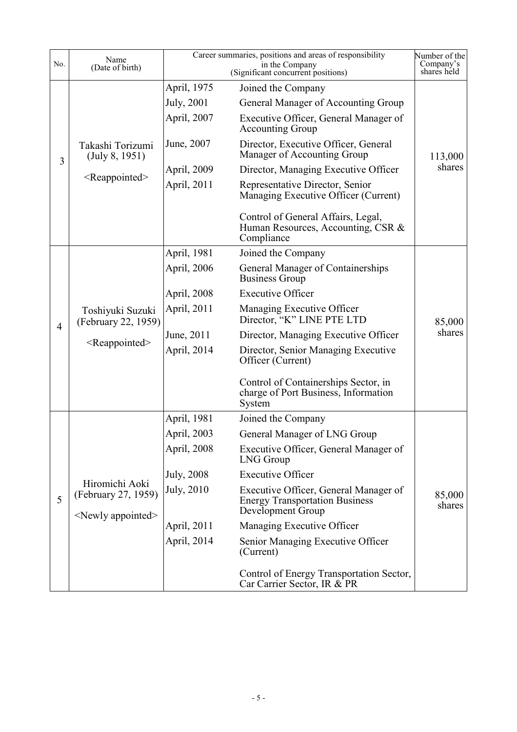| No.            | Name<br>(Date of birth)                                               | Career summaries, positions and areas of responsibility | Number of the<br>Company's<br>shares held                                                           |                  |
|----------------|-----------------------------------------------------------------------|---------------------------------------------------------|-----------------------------------------------------------------------------------------------------|------------------|
|                |                                                                       | April, 1975                                             | (Significant concurrent positions)<br>Joined the Company                                            |                  |
|                |                                                                       | July, 2001                                              | General Manager of Accounting Group                                                                 |                  |
|                |                                                                       | April, 2007                                             | Executive Officer, General Manager of<br><b>Accounting Group</b>                                    |                  |
|                | Takashi Torizumi<br>(July 8, 1951)<br>$<$ Reappointed $>$             | June, 2007                                              | Director, Executive Officer, General<br>Manager of Accounting Group                                 | 113,000          |
| 3              |                                                                       | April, 2009                                             | Director, Managing Executive Officer                                                                | shares           |
|                |                                                                       | April, 2011                                             | Representative Director, Senior<br>Managing Executive Officer (Current)                             |                  |
|                |                                                                       |                                                         | Control of General Affairs, Legal,<br>Human Resources, Accounting, CSR &<br>Compliance              |                  |
|                |                                                                       | April, 1981                                             | Joined the Company                                                                                  |                  |
|                |                                                                       | April, 2006                                             | General Manager of Containerships<br><b>Business Group</b>                                          |                  |
|                |                                                                       | April, 2008                                             | <b>Executive Officer</b>                                                                            |                  |
| $\overline{4}$ | Toshiyuki Suzuki<br>(February 22, 1959)                               | April, 2011                                             | Managing Executive Officer<br>Director, "K" LINE PTE LTD                                            | 85,000           |
|                | $<$ Reappointed $>$                                                   | June, 2011                                              | Director, Managing Executive Officer                                                                | shares           |
|                |                                                                       | April, 2014                                             | Director, Senior Managing Executive<br>Officer (Current)                                            |                  |
|                |                                                                       |                                                         | Control of Containerships Sector, in<br>charge of Port Business, Information<br>System              |                  |
|                |                                                                       | April, 1981                                             | Joined the Company                                                                                  |                  |
|                |                                                                       | April, 2003                                             | General Manager of LNG Group                                                                        |                  |
|                | Hiromichi Aoki<br>(February 27, 1959)<br><newly appointed=""></newly> | April, 2008                                             | Executive Officer, General Manager of<br>LNG Group                                                  |                  |
|                |                                                                       | July, 2008                                              | <b>Executive Officer</b>                                                                            |                  |
| 5              |                                                                       | July, 2010                                              | Executive Officer, General Manager of<br><b>Energy Transportation Business</b><br>Development Group | 85,000<br>shares |
|                |                                                                       | April, 2011                                             | Managing Executive Officer                                                                          |                  |
|                |                                                                       | April, 2014                                             | Senior Managing Executive Officer<br>(Current)                                                      |                  |
|                |                                                                       |                                                         | Control of Energy Transportation Sector,<br>Car Carrier Sector, IR & PR                             |                  |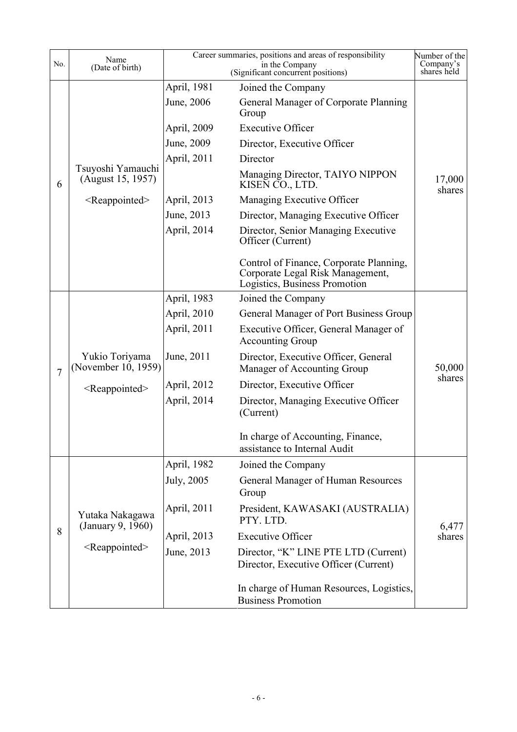| No.            | Name<br>(Date of birth)                | Career summaries, positions and areas of responsibility | Number of the<br>Company's<br>shares held                                                                    |                  |
|----------------|----------------------------------------|---------------------------------------------------------|--------------------------------------------------------------------------------------------------------------|------------------|
|                |                                        | April, 1981                                             | Joined the Company                                                                                           |                  |
|                |                                        | June, 2006                                              | General Manager of Corporate Planning<br>Group                                                               |                  |
|                |                                        | April, 2009                                             | <b>Executive Officer</b>                                                                                     |                  |
|                |                                        | June, 2009                                              | Director, Executive Officer                                                                                  |                  |
|                |                                        | April, 2011                                             | Director                                                                                                     |                  |
| 6              | Tsuyoshi Yamauchi<br>(August 15, 1957) |                                                         | Managing Director, TAIYO NIPPON<br>KISEN CO., LTD.                                                           | 17,000<br>shares |
|                | <reappointed></reappointed>            | April, 2013                                             | Managing Executive Officer                                                                                   |                  |
|                |                                        | June, 2013                                              | Director, Managing Executive Officer                                                                         |                  |
|                |                                        | April, 2014                                             | Director, Senior Managing Executive<br>Officer (Current)                                                     |                  |
|                |                                        |                                                         | Control of Finance, Corporate Planning,<br>Corporate Legal Risk Management,<br>Logistics, Business Promotion |                  |
|                |                                        | April, 1983                                             | Joined the Company                                                                                           |                  |
|                |                                        | April, 2010                                             | General Manager of Port Business Group                                                                       |                  |
|                |                                        | April, 2011                                             | Executive Officer, General Manager of<br><b>Accounting Group</b>                                             |                  |
| $\overline{7}$ | Yukio Toriyama<br>(November 10, 1959)  | June, 2011                                              | Director, Executive Officer, General<br>Manager of Accounting Group                                          | 50,000           |
|                | <reappointed></reappointed>            | April, 2012                                             | Director, Executive Officer                                                                                  | shares           |
|                |                                        | April, 2014                                             | Director, Managing Executive Officer<br>(Current)                                                            |                  |
|                |                                        |                                                         | In charge of Accounting, Finance,<br>assistance to Internal Audit                                            |                  |
|                |                                        | April, 1982                                             | Joined the Company                                                                                           |                  |
|                |                                        | <b>July</b> , 2005                                      | General Manager of Human Resources<br>Group                                                                  |                  |
|                | Yutaka Nakagawa<br>(January 9, 1960)   | April, 2011                                             | President, KAWASAKI (AUSTRALIA)<br>PTY. LTD.                                                                 | 6,477            |
| 8              |                                        | April, 2013                                             | <b>Executive Officer</b>                                                                                     | shares           |
|                | <reappointed></reappointed>            | June, 2013                                              | Director, "K" LINE PTE LTD (Current)<br>Director, Executive Officer (Current)                                |                  |
|                |                                        |                                                         | In charge of Human Resources, Logistics,<br><b>Business Promotion</b>                                        |                  |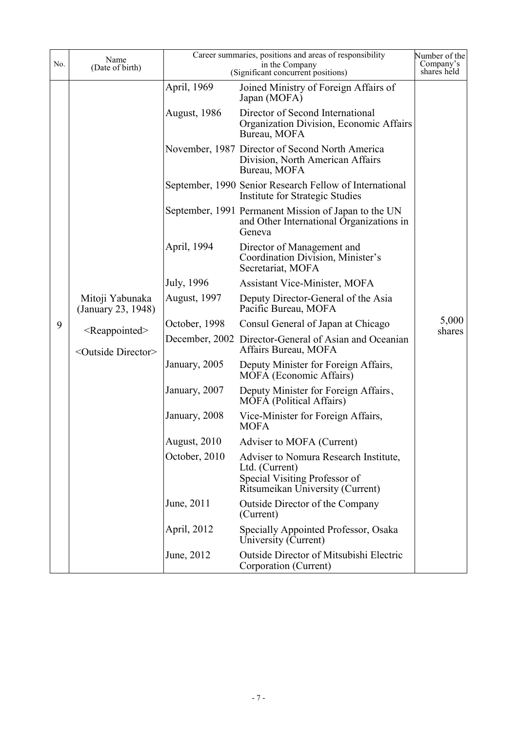| No. | Name<br>(Date of birth)                                                                                  | Career summaries, positions and areas of responsibility<br>(Significant concurrent positions) | Number of the<br>Company's<br>shares held                                                                                    |        |
|-----|----------------------------------------------------------------------------------------------------------|-----------------------------------------------------------------------------------------------|------------------------------------------------------------------------------------------------------------------------------|--------|
|     |                                                                                                          | April, 1969                                                                                   | Joined Ministry of Foreign Affairs of<br>Japan (MOFA)                                                                        |        |
|     | Mitoji Yabunaka<br>(January 23, 1948)<br><reappointed><br/><outside director=""></outside></reappointed> | <b>August, 1986</b>                                                                           | Director of Second International<br>Organization Division, Economic Affairs<br>Bureau, MOFA                                  |        |
|     |                                                                                                          |                                                                                               | November, 1987 Director of Second North America<br>Division, North American Affairs<br>Bureau, MOFA                          |        |
|     |                                                                                                          |                                                                                               | September, 1990 Senior Research Fellow of International<br>Institute for Strategic Studies                                   |        |
|     |                                                                                                          |                                                                                               | September, 1991 Permanent Mission of Japan to the UN<br>and Other International Organizations in<br>Geneva                   |        |
|     |                                                                                                          | April, 1994                                                                                   | Director of Management and<br>Coordination Division, Minister's<br>Secretariat, MOFA                                         | 5,000  |
|     |                                                                                                          | July, 1996                                                                                    | <b>Assistant Vice-Minister, MOFA</b>                                                                                         |        |
|     |                                                                                                          | <b>August, 1997</b>                                                                           | Deputy Director-General of the Asia<br>Pacific Bureau, MOFA                                                                  |        |
| 9   |                                                                                                          | October, 1998                                                                                 | Consul General of Japan at Chicago                                                                                           |        |
|     |                                                                                                          |                                                                                               | December, 2002 Director-General of Asian and Oceanian<br>Affairs Bureau, MOFA                                                | shares |
|     |                                                                                                          | January, 2005                                                                                 | Deputy Minister for Foreign Affairs,<br>MOFA (Economic Affairs)                                                              |        |
|     |                                                                                                          | January, 2007                                                                                 | Deputy Minister for Foreign Affairs,<br><b>MOFA</b> (Political Affairs)                                                      |        |
|     |                                                                                                          | January, 2008                                                                                 | Vice-Minister for Foreign Affairs,<br><b>MOFA</b>                                                                            |        |
|     |                                                                                                          | August, 2010                                                                                  | Adviser to MOFA (Current)                                                                                                    |        |
|     |                                                                                                          | October, 2010                                                                                 | Adviser to Nomura Research Institute,<br>Ltd. (Current)<br>Special Visiting Professor of<br>Ritsumeikan University (Current) |        |
|     |                                                                                                          | June, 2011                                                                                    | Outside Director of the Company<br>(Current)                                                                                 |        |
|     |                                                                                                          | April, 2012                                                                                   | Specially Appointed Professor, Osaka<br>University (Current)                                                                 |        |
|     |                                                                                                          | June, 2012                                                                                    | <b>Outside Director of Mitsubishi Electric</b><br>Corporation (Current)                                                      |        |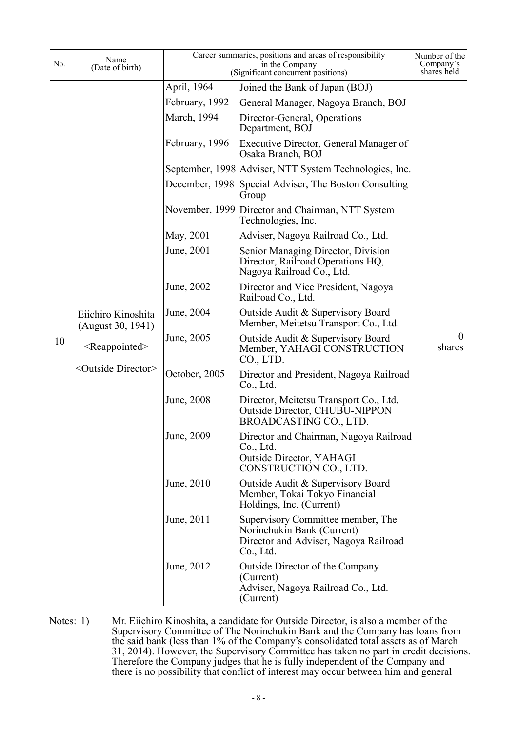| No. | Name<br>(Date of birth)                                                                           | Career summaries, positions and areas of responsibility<br>(Significant concurrent positions) | Number of the<br>Company's<br>shares held                                                                             |                          |
|-----|---------------------------------------------------------------------------------------------------|-----------------------------------------------------------------------------------------------|-----------------------------------------------------------------------------------------------------------------------|--------------------------|
|     |                                                                                                   | April, 1964                                                                                   | Joined the Bank of Japan (BOJ)                                                                                        |                          |
|     |                                                                                                   | February, 1992                                                                                | General Manager, Nagoya Branch, BOJ                                                                                   |                          |
|     |                                                                                                   | March, 1994                                                                                   | Director-General, Operations<br>Department, BOJ                                                                       |                          |
|     |                                                                                                   | February, 1996                                                                                | Executive Director, General Manager of<br>Osaka Branch, BOJ                                                           |                          |
|     |                                                                                                   |                                                                                               | September, 1998 Adviser, NTT System Technologies, Inc.                                                                |                          |
|     |                                                                                                   |                                                                                               | December, 1998 Special Adviser, The Boston Consulting<br>Group                                                        |                          |
|     |                                                                                                   |                                                                                               | November, 1999 Director and Chairman, NTT System<br>Technologies, Inc.                                                |                          |
|     |                                                                                                   | May, 2001                                                                                     | Adviser, Nagoya Railroad Co., Ltd.                                                                                    |                          |
|     |                                                                                                   | June, 2001                                                                                    | Senior Managing Director, Division<br>Director, Railroad Operations HQ,<br>Nagoya Railroad Co., Ltd.                  |                          |
|     | Eiichiro Kinoshita<br>(August 30, 1941)<br>$<$ Reappointed $>$<br><outside director=""></outside> | June, 2002                                                                                    | Director and Vice President, Nagoya<br>Railroad Co., Ltd.                                                             |                          |
|     |                                                                                                   | June, 2004                                                                                    | Outside Audit & Supervisory Board<br>Member, Meitetsu Transport Co., Ltd.                                             |                          |
| 10  |                                                                                                   | June, 2005                                                                                    | Outside Audit & Supervisory Board<br>Member, YAHAGI CONSTRUCTION<br>CO., LTD.                                         | $\overline{0}$<br>shares |
|     |                                                                                                   | October, 2005                                                                                 | Director and President, Nagoya Railroad<br>Co., Ltd.                                                                  |                          |
|     |                                                                                                   | June, 2008                                                                                    | Director, Meitetsu Transport Co., Ltd.<br><b>Outside Director, CHUBU-NIPPON</b><br>BROADCASTING CO., LTD.             |                          |
|     |                                                                                                   | June, 2009                                                                                    | Director and Chairman, Nagoya Railroad<br>Co., Ltd.<br>Outside Director, YAHAGI<br>CONSTRUCTION CO., LTD.             |                          |
|     |                                                                                                   | June, 2010                                                                                    | Outside Audit & Supervisory Board<br>Member, Tokai Tokyo Financial<br>Holdings, Inc. (Current)                        |                          |
|     |                                                                                                   | June, 2011                                                                                    | Supervisory Committee member, The<br>Norinchukin Bank (Current)<br>Director and Adviser, Nagoya Railroad<br>Co., Ltd. |                          |
|     |                                                                                                   | June, 2012                                                                                    | Outside Director of the Company<br>(Current)<br>Adviser, Nagoya Railroad Co., Ltd.<br>(Current)                       |                          |

Notes: 1) Mr. Eiichiro Kinoshita, a candidate for Outside Director, is also a member of the Supervisory Committee of The Norinchukin Bank and the Company has loans from the said bank (less than 1% of the Company's consolidated total assets as of March 31, 2014). However, the Supervisory Committee has taken no part in credit decisions. Therefore the Company judges that he is fully independent of the Company and there is no possibility that conflict of interest may occur between him and general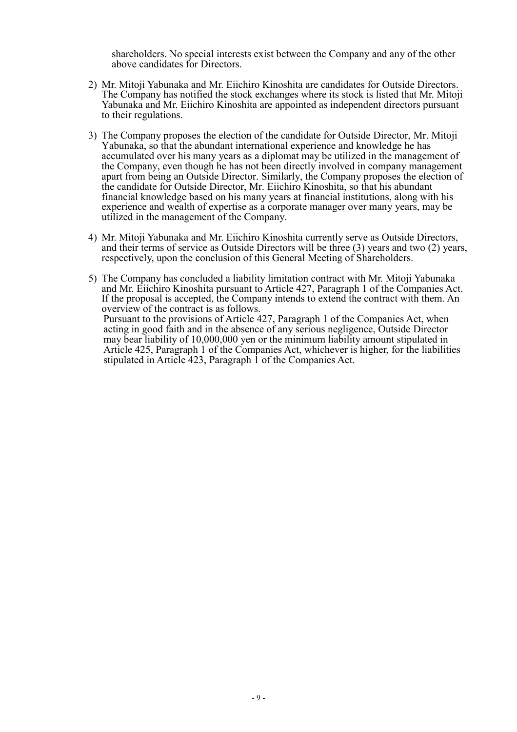shareholders. No special interests exist between the Company and any of the other above candidates for Directors.

- 2) Mr. Mitoji Yabunaka and Mr. Eiichiro Kinoshita are candidates for Outside Directors. The Company has notified the stock exchanges where its stock is listed that Mr. Mitoji Yabunaka and Mr. Eiichiro Kinoshita are appointed as independent directors pursuant to their regulations.
- 3) The Company proposes the election of the candidate for Outside Director, Mr. Mitoji Yabunaka, so that the abundant international experience and knowledge he has accumulated over his many years as a diplomat may be utilized in the management of the Company, even though he has not been directly involved in company management apart from being an Outside Director. Similarly, the Company proposes the election of the candidate for Outside Director, Mr. Eiichiro Kinoshita, so that his abundant financial knowledge based on his many years at financial institutions, along with his experience and wealth of expertise as a corporate manager over many years, may be utilized in the management of the Company.
- 4) Mr. Mitoji Yabunaka and Mr. Eiichiro Kinoshita currently serve as Outside Directors, and their terms of service as Outside Directors will be three (3) years and two (2) years, respectively, upon the conclusion of this General Meeting of Shareholders.
- 5) The Company has concluded a liability limitation contract with Mr. Mitoji Yabunaka and Mr. Eiichiro Kinoshita pursuant to Article 427, Paragraph 1 of the Companies Act. If the proposal is accepted, the Company intends to extend the contract with them. An overview of the contract is as follows. Pursuant to the provisions of Article 427, Paragraph 1 of the Companies Act, when acting in good faith and in the absence of any serious negligence, Outside Director may bear liability of 10,000,000 yen or the minimum liability amount stipulated in Article 425, Paragraph 1 of the Companies Act, whichever is higher, for the liabilities stipulated in Article 423, Paragraph 1 of the Companies Act.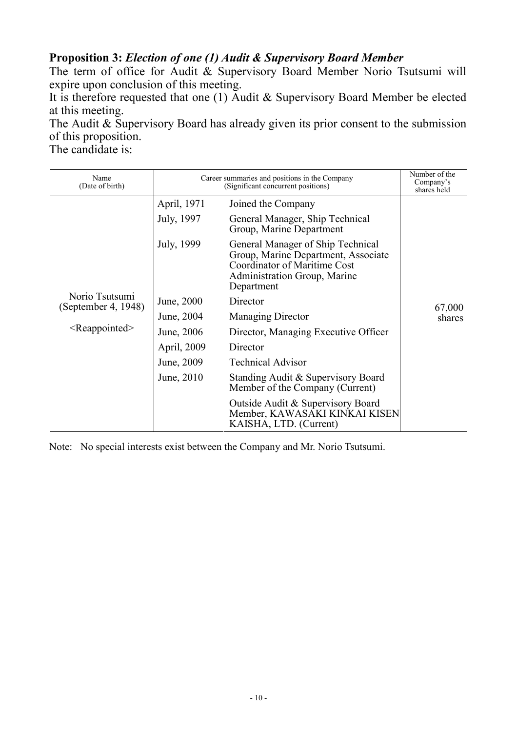### **Proposition 3:** *Election of one (1) Audit & Supervisory Board Member*

The term of office for Audit & Supervisory Board Member Norio Tsutsumi will expire upon conclusion of this meeting.

It is therefore requested that one (1) Audit & Supervisory Board Member be elected at this meeting.

The Audit & Supervisory Board has already given its prior consent to the submission of this proposition.

The candidate is:

| Name<br>(Date of birth)               | Career summaries and positions in the Company<br>(Significant concurrent positions) |                                                                                                                                                                      | Number of the<br>Company's<br>shares held |
|---------------------------------------|-------------------------------------------------------------------------------------|----------------------------------------------------------------------------------------------------------------------------------------------------------------------|-------------------------------------------|
|                                       | April, 1971                                                                         | Joined the Company                                                                                                                                                   |                                           |
|                                       | July, 1997                                                                          | General Manager, Ship Technical<br>Group, Marine Department                                                                                                          |                                           |
|                                       | July, 1999                                                                          | General Manager of Ship Technical<br>Group, Marine Department, Associate<br><b>Coordinator of Maritime Cost</b><br><b>Administration Group, Marine</b><br>Department |                                           |
| Norio Tsutsumi<br>(September 4, 1948) | June, 2000                                                                          | Director                                                                                                                                                             | 67,000<br>shares                          |
|                                       | June, 2004                                                                          | <b>Managing Director</b>                                                                                                                                             |                                           |
| $\leq$ Reappointed $\geq$             | June, 2006                                                                          | Director, Managing Executive Officer                                                                                                                                 |                                           |
|                                       | April, 2009                                                                         | Director                                                                                                                                                             |                                           |
|                                       | June, 2009                                                                          | <b>Technical Advisor</b>                                                                                                                                             |                                           |
|                                       | June, 2010                                                                          | Standing Audit & Supervisory Board<br>Member of the Company (Current)                                                                                                |                                           |
|                                       |                                                                                     | Outside Audit & Supervisory Board<br>Member, KAWASAKI KINKAI KISEN<br>KAISHA, LTD. (Current)                                                                         |                                           |

Note: No special interests exist between the Company and Mr. Norio Tsutsumi.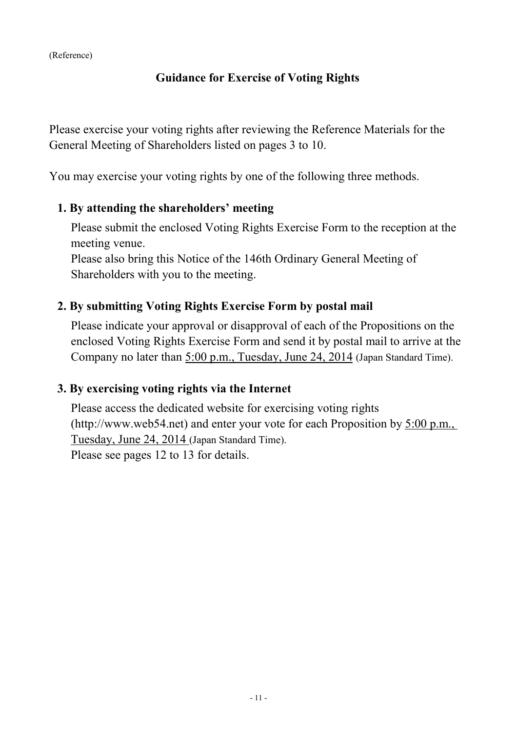## **Guidance for Exercise of Voting Rights**

Please exercise your voting rights after reviewing the Reference Materials for the General Meeting of Shareholders listed on pages 3 to 10.

You may exercise your voting rights by one of the following three methods.

#### **1. By attending the shareholders' meeting**

Please submit the enclosed Voting Rights Exercise Form to the reception at the meeting venue.

Please also bring this Notice of the 146th Ordinary General Meeting of Shareholders with you to the meeting.

## **2. By submitting Voting Rights Exercise Form by postal mail**

Please indicate your approval or disapproval of each of the Propositions on the enclosed Voting Rights Exercise Form and send it by postal mail to arrive at the Company no later than 5:00 p.m., Tuesday, June 24, 2014 (Japan Standard Time).

## **3. By exercising voting rights via the Internet**

Please access the dedicated website for exercising voting rights (http://www.web54.net) and enter your vote for each Proposition by 5:00 p.m., Tuesday, June 24, 2014 (Japan Standard Time). Please see pages 12 to 13 for details.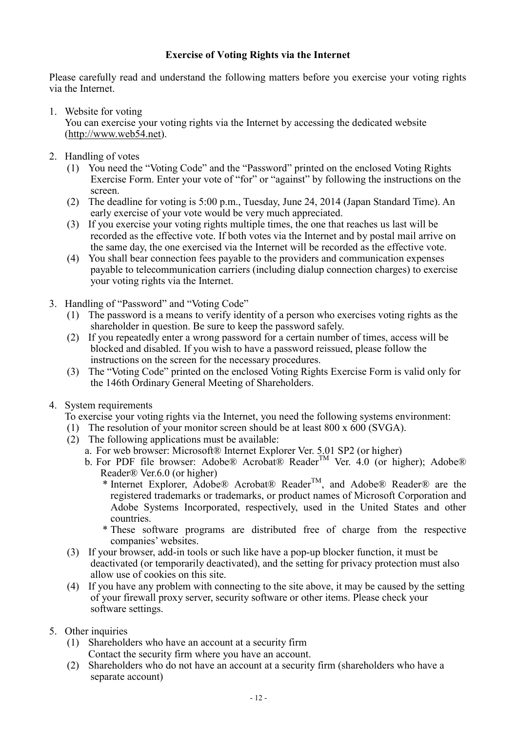#### **Exercise of Voting Rights via the Internet**

Please carefully read and understand the following matters before you exercise your voting rights via the Internet.

1. Website for voting

You can exercise your voting rights via the Internet by accessing the dedicated website (http://www.web54.net).

- 2. Handling of votes
	- (1) You need the "Voting Code" and the "Password" printed on the enclosed Voting Rights Exercise Form. Enter your vote of "for" or "against" by following the instructions on the screen.
	- (2) The deadline for voting is 5:00 p.m., Tuesday, June 24, 2014 (Japan Standard Time). An early exercise of your vote would be very much appreciated.
	- (3) If you exercise your voting rights multiple times, the one that reaches us last will be recorded as the effective vote. If both votes via the Internet and by postal mail arrive on the same day, the one exercised via the Internet will be recorded as the effective vote.
	- (4) You shall bear connection fees payable to the providers and communication expenses payable to telecommunication carriers (including dialup connection charges) to exercise your voting rights via the Internet.
- 3. Handling of "Password" and "Voting Code"
	- (1) The password is a means to verify identity of a person who exercises voting rights as the shareholder in question. Be sure to keep the password safely.
	- (2) If you repeatedly enter a wrong password for a certain number of times, access will be blocked and disabled. If you wish to have a password reissued, please follow the instructions on the screen for the necessary procedures.
	- (3) The "Voting Code" printed on the enclosed Voting Rights Exercise Form is valid only for the 146th Ordinary General Meeting of Shareholders.
- 4. System requirements

To exercise your voting rights via the Internet, you need the following systems environment:

- (1) The resolution of your monitor screen should be at least 800 x 600 (SVGA).
- $(2)$  The following applications must be available:
	- a. For web browser: Microsoft® Internet Explorer Ver. 5.01 SP2 (or higher)
	- b. For PDF file browser: Adobe® Acrobat® Reader<sup>TM</sup> Ver. 4.0 (or higher); Adobe® Reader® Ver.6.0 (or higher)
		- \* Internet Explorer, Adobe® Acrobat® Reader<sup>TM</sup>, and Adobe® Reader® are the registered trademarks or trademarks, or product names of Microsoft Corporation and Adobe Systems Incorporated, respectively, used in the United States and other countries.
		- \* These software programs are distributed free of charge from the respective companies' websites.
- (3) If your browser, add-in tools or such like have a pop-up blocker function, it must be deactivated (or temporarily deactivated), and the setting for privacy protection must also allow use of cookies on this site.
- (4) If you have any problem with connecting to the site above, it may be caused by the setting of your firewall proxy server, security software or other items. Please check your software settings.
- 5. Other inquiries
	- (1) Shareholders who have an account at a security firm Contact the security firm where you have an account.
	- (2) Shareholders who do not have an account at a security firm (shareholders who have a separate account)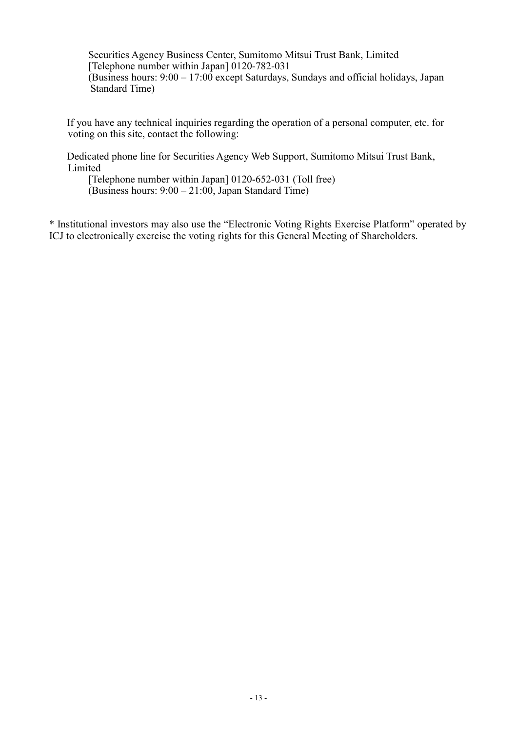Securities Agency Business Center, Sumitomo Mitsui Trust Bank, Limited [Telephone number within Japan] 0120-782-031 (Business hours: 9:00 – 17:00 except Saturdays, Sundays and official holidays, Japan Standard Time)

If you have any technical inquiries regarding the operation of a personal computer, etc. for voting on this site, contact the following:

Dedicated phone line for Securities Agency Web Support, Sumitomo Mitsui Trust Bank, Limited

[Telephone number within Japan] 0120-652-031 (Toll free) (Business hours: 9:00 – 21:00, Japan Standard Time)

\* Institutional investors may also use the "Electronic Voting Rights Exercise Platform" operated by ICJ to electronically exercise the voting rights for this General Meeting of Shareholders.